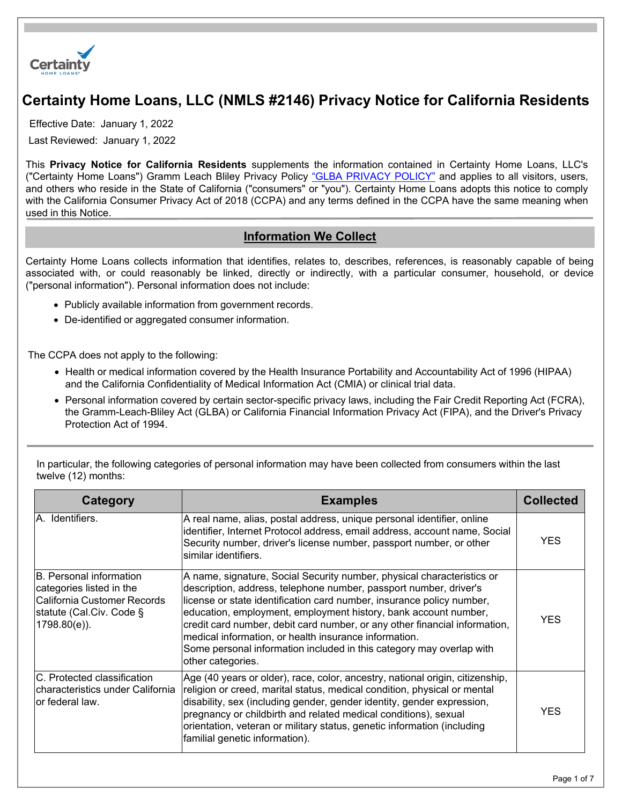

# **Certainty Home Loans, LLC (NMLS #2146) Privacy Notice for California Residents**

Effective Date: January 1, 2022

Last Reviewed: January 1, 2022

This **Privacy Notice for California Residents** supplements the information contained in Certainty Home Loans, LLC's ("Certainty Home Loans") Gramm Leach Bliley Privacy Policy ["GLBA PRIVACY POLICY"](https://certaintyhomeloans.com/GLBA) and applies to all visitors, users, and others who reside in the State of California ("consumers" or "you"). Certainty Home Loans adopts this notice to comply with the California Consumer Privacy Act of 2018 (CCPA) and any terms defined in the CCPA have the same meaning when used in this Notice.

#### **Information We Collect**

Certainty Home Loans collects information that identifies, relates to, describes, references, is reasonably capable of being associated with, or could reasonably be linked, directly or indirectly, with a particular consumer, household, or device ("personal information"). Personal information does not include:

- Publicly available information from government records.
- De-identified or aggregated consumer information.

The CCPA does not apply to the following:

- Health or medical information covered by the Health Insurance Portability and Accountability Act of 1996 (HIPAA) and the California Confidentiality of Medical Information Act (CMIA) or clinical trial data.
- Personal information covered by certain sector-specific privacy laws, including the Fair Credit Reporting Act (FCRA), the Gramm-Leach-Bliley Act (GLBA) or California Financial Information Privacy Act (FIPA), and the Driver's Privacy Protection Act of 1994.

| Category                                                                                                                           | <b>Examples</b>                                                                                                                                                                                                                                                                                                                                                                                                                                                                                                             | <b>Collected</b> |  |
|------------------------------------------------------------------------------------------------------------------------------------|-----------------------------------------------------------------------------------------------------------------------------------------------------------------------------------------------------------------------------------------------------------------------------------------------------------------------------------------------------------------------------------------------------------------------------------------------------------------------------------------------------------------------------|------------------|--|
| IA. Identifiers.                                                                                                                   | A real name, alias, postal address, unique personal identifier, online<br>identifier, Internet Protocol address, email address, account name, Social<br>Security number, driver's license number, passport number, or other<br>similar identifiers.                                                                                                                                                                                                                                                                         | <b>YES</b>       |  |
| IB. Personal information<br>categories listed in the<br>California Customer Records<br>statute (Cal.Civ. Code §<br>$1798.80(e)$ ). | A name, signature, Social Security number, physical characteristics or<br>description, address, telephone number, passport number, driver's<br>license or state identification card number, insurance policy number,<br>education, employment, employment history, bank account number,<br>credit card number, debit card number, or any other financial information,<br>medical information, or health insurance information.<br>Some personal information included in this category may overlap with<br>other categories. | <b>YES</b>       |  |
| C. Protected classification<br>Icharacteristics under California<br>lor federal law.                                               | Age (40 years or older), race, color, ancestry, national origin, citizenship,<br>religion or creed, marital status, medical condition, physical or mental<br>disability, sex (including gender, gender identity, gender expression,                                                                                                                                                                                                                                                                                         |                  |  |

pregnancy or childbirth and related medical conditions), sexual orientation, veteran or military status, genetic information (including

familial genetic information).

In particular, the following categories of personal information may have been collected from consumers within the last twelve (12) months:

YES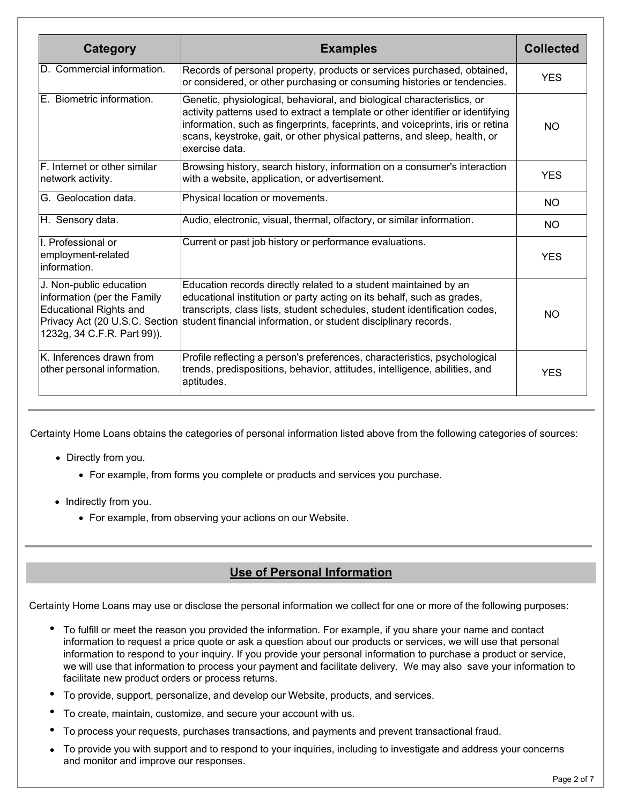| Category                                                                                                                                                 | <b>Examples</b>                                                                                                                                                                                                                                                                                                                            | <b>Collected</b> |
|----------------------------------------------------------------------------------------------------------------------------------------------------------|--------------------------------------------------------------------------------------------------------------------------------------------------------------------------------------------------------------------------------------------------------------------------------------------------------------------------------------------|------------------|
| D. Commercial information.                                                                                                                               | Records of personal property, products or services purchased, obtained,<br>or considered, or other purchasing or consuming histories or tendencies.                                                                                                                                                                                        | <b>YES</b>       |
| E. Biometric information.                                                                                                                                | Genetic, physiological, behavioral, and biological characteristics, or<br>activity patterns used to extract a template or other identifier or identifying<br>information, such as fingerprints, faceprints, and voiceprints, iris or retina<br>scans, keystroke, gait, or other physical patterns, and sleep, health, or<br>exercise data. | NO.              |
| F. Internet or other similar<br>network activity.                                                                                                        | Browsing history, search history, information on a consumer's interaction<br>with a website, application, or advertisement.                                                                                                                                                                                                                | <b>YES</b>       |
| G. Geolocation data.                                                                                                                                     | Physical location or movements.                                                                                                                                                                                                                                                                                                            | <b>NO</b>        |
| H. Sensory data.                                                                                                                                         | Audio, electronic, visual, thermal, olfactory, or similar information.                                                                                                                                                                                                                                                                     | <b>NO</b>        |
| I. Professional or<br>employment-related<br>information.                                                                                                 | Current or past job history or performance evaluations.                                                                                                                                                                                                                                                                                    | <b>YES</b>       |
| J. Non-public education<br>information (per the Family<br><b>Educational Rights and</b><br>Privacy Act (20 U.S.C. Section<br>1232g, 34 C.F.R. Part 99)). | Education records directly related to a student maintained by an<br>educational institution or party acting on its behalf, such as grades,<br>transcripts, class lists, student schedules, student identification codes,<br>student financial information, or student disciplinary records.                                                | <b>NO</b>        |
| K. Inferences drawn from<br>other personal information.                                                                                                  | Profile reflecting a person's preferences, characteristics, psychological<br>trends, predispositions, behavior, attitudes, intelligence, abilities, and<br>aptitudes.                                                                                                                                                                      | <b>YES</b>       |

Certainty Home Loans obtains the categories of personal information listed above from the following categories of sources:

- Directly from you.
	- For example, from forms you complete or products and services you purchase.
- Indirectly from you.
	- For example, from observing your actions on our Website.

# **Use of Personal Information**

Certainty Home Loans may use or disclose the personal information we collect for one or more of the following purposes:

- To fulfill or meet the reason you provided the information. For example, if you share your name and contact information to request a price quote or ask a question about our products or services, we will use that personal information to respond to your inquiry. If you provide your personal information to purchase a product or service, we will use that information to process your payment and facilitate delivery. We may also save your information to facilitate new product orders or process returns.
- To provide, support, personalize, and develop our Website, products, and services.
- To create, maintain, customize, and secure your account with us.
- To process your requests, purchases transactions, and payments and prevent transactional fraud.
- To provide you with support and to respond to your inquiries, including to investigate and address your concerns and monitor and improve our responses.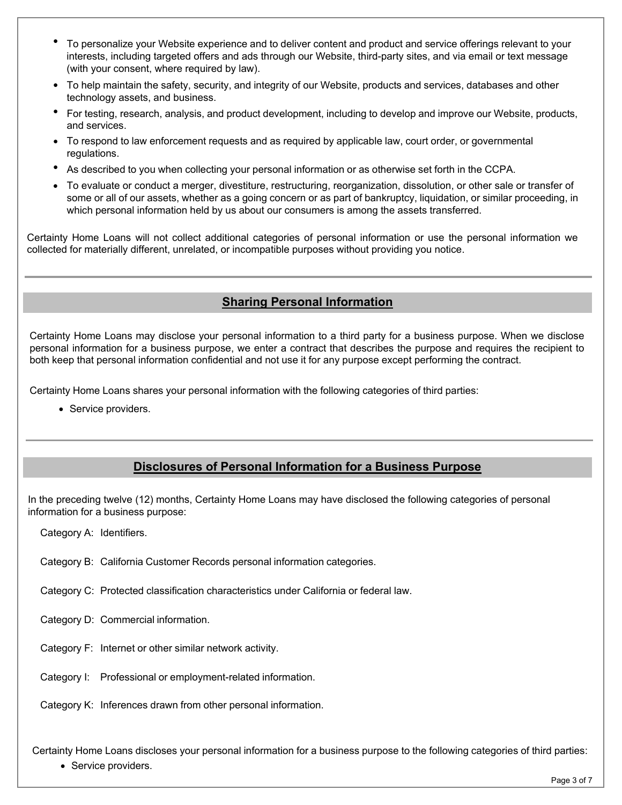- To personalize your Website experience and to deliver content and product and service offerings relevant to your interests, including targeted offers and ads through our Website, third-party sites, and via email or text message (with your consent, where required by law).
- To help maintain the safety, security, and integrity of our Website, products and services, databases and other technology assets, and business.
- For testing, research, analysis, and product development, including to develop and improve our Website, products, and services.
- To respond to law enforcement requests and as required by applicable law, court order, or governmental regulations.
- As described to you when collecting your personal information or as otherwise set forth in the CCPA.
- To evaluate or conduct a merger, divestiture, restructuring, reorganization, dissolution, or other sale or transfer of some or all of our assets, whether as a going concern or as part of bankruptcy, liquidation, or similar proceeding, in which personal information held by us about our consumers is among the assets transferred.

Certainty Home Loans will not collect additional categories of personal information or use the personal information we collected for materially different, unrelated, or incompatible purposes without providing you notice.

#### **Sharing Personal Information**

Certainty Home Loans may disclose your personal information to a third party for a business purpose. When we disclose personal information for a business purpose, we enter a contract that describes the purpose and requires the recipient to both keep that personal information confidential and not use it for any purpose except performing the contract.

Certainty Home Loans shares your personal information with the following categories of third parties:

• Service providers.

#### **Disclosures of Personal Information for a Business Purpose**

In the preceding twelve (12) months, Certainty Home Loans may have disclosed the following categories of personal information for a business purpose:

Category A: Identifiers.

Category B: California Customer Records personal information categories.

Category C: Protected classification characteristics under California or federal law.

Category D: Commercial information.

Category F: Internet or other similar network activity.

Category I: Professional or employment-related information.

Category K: Inferences drawn from other personal information.

Certainty Home Loans discloses your personal information for a business purpose to the following categories of third parties:

• Service providers.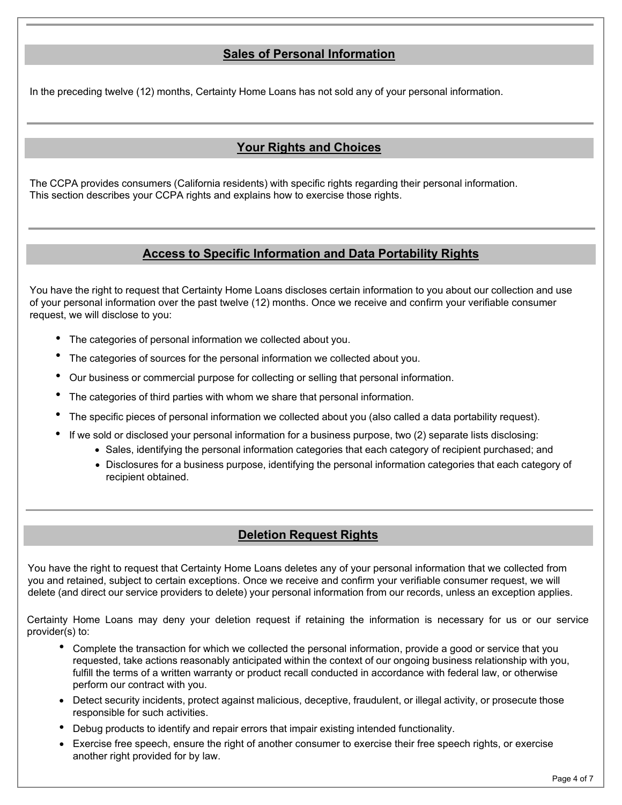# **Sales of Personal Information**

In the preceding twelve (12) months, Certainty Home Loans has not sold any of your personal information.

## **Your Rights and Choices**

The CCPA provides consumers (California residents) with specific rights regarding their personal information. This section describes your CCPA rights and explains how to exercise those rights.

#### **Access to Specific Information and Data Portability Rights**

You have the right to request that Certainty Home Loans discloses certain information to you about our collection and use of your personal information over the past twelve (12) months. Once we receive and confirm your verifiable consumer request, we will disclose to you:

- The categories of personal information we collected about you.
- The categories of sources for the personal information we collected about you.
- Our business or commercial purpose for collecting or selling that personal information.
- The categories of third parties with whom we share that personal information.
- The specific pieces of personal information we collected about you (also called a data portability request).
- If we sold or disclosed your personal information for a business purpose, two (2) separate lists disclosing:
	- Sales, identifying the personal information categories that each category of recipient purchased; and
	- Disclosures for a business purpose, identifying the personal information categories that each category of recipient obtained.

#### **Deletion Request Rights**

You have the right to request that Certainty Home Loans deletes any of your personal information that we collected from you and retained, subject to certain exceptions. Once we receive and confirm your verifiable consumer request, we will delete (and direct our service providers to delete) your personal information from our records, unless an exception applies.

Certainty Home Loans may deny your deletion request if retaining the information is necessary for us or our service provider(s) to:

- Complete the transaction for which we collected the personal information, provide a good or service that you requested, take actions reasonably anticipated within the context of our ongoing business relationship with you, fulfill the terms of a written warranty or product recall conducted in accordance with federal law, or otherwise perform our contract with you.
- Detect security incidents, protect against malicious, deceptive, fraudulent, or illegal activity, or prosecute those responsible for such activities.
- Debug products to identify and repair errors that impair existing intended functionality.
- Exercise free speech, ensure the right of another consumer to exercise their free speech rights, or exercise another right provided for by law.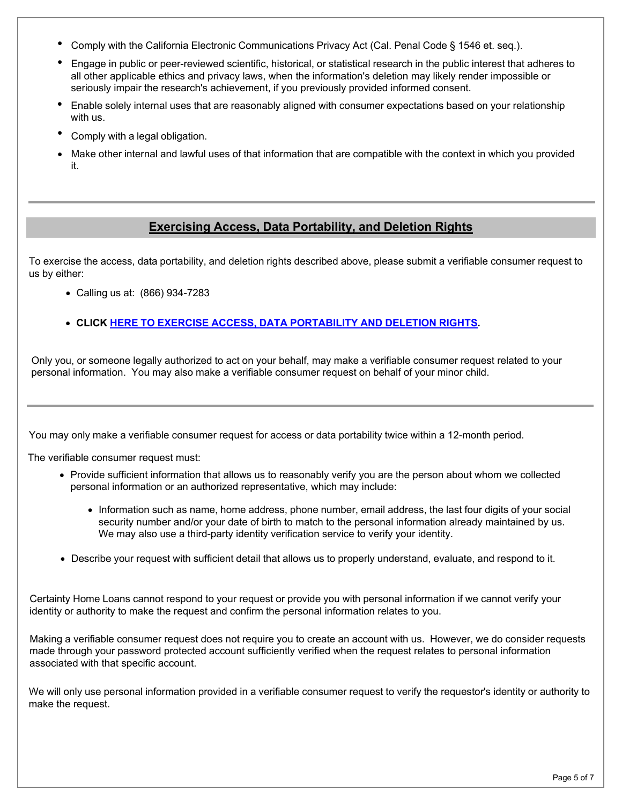- Comply with the California Electronic Communications Privacy Act (Cal. Penal Code § 1546 et. seq.).
- Engage in public or peer-reviewed scientific, historical, or statistical research in the public interest that adheres to all other applicable ethics and privacy laws, when the information's deletion may likely render impossible or seriously impair the research's achievement, if you previously provided informed consent.
- Enable solely internal uses that are reasonably aligned with consumer expectations based on your relationship with us.
- Comply with <sup>a</sup> legal obligation.
- Make other internal and lawful uses of that information that are compatible with the context in which you provided it.

## **Exercising Access, Data Portability, and Deletion Rights**

To exercise the access, data portability, and deletion rights described above, please submit a verifiable consumer request to us by either:

- Calling us at: (866) 934-7283
- **CLICK HERE TO EXERCISE ACCESS, DATA [PORTABILITY](https://privacyportal-cdn.onetrust.com/dsarwebform/ceba271c-b4ea-4271-9b1e-9e4468731c3e/fd0cf52f-ae58-41fd-bd0a-53a7291d57b4.html) AND DELETION RIGHTS.**

Only you, or someone legally authorized to act on your behalf, may make a verifiable consumer request related to your personal information. You may also make a verifiable consumer request on behalf of your minor child.

You may only make a verifiable consumer request for access or data portability twice within a 12-month period.

The verifiable consumer request must:

- Provide sufficient information that allows us to reasonably verify you are the person about whom we collected personal information or an authorized representative, which may include:
	- Information such as name, home address, phone number, email address, the last four digits of your social security number and/or your date of birth to match to the personal information already maintained by us. We may also use a third-party identity verification service to verify your identity.
- Describe your request with sufficient detail that allows us to properly understand, evaluate, and respond to it.

Certainty Home Loans cannot respond to your request or provide you with personal information if we cannot verify your identity or authority to make the request and confirm the personal information relates to you.

Making a verifiable consumer request does not require you to create an account with us. However, we do consider requests made through your password protected account sufficiently verified when the request relates to personal information associated with that specific account.

We will only use personal information provided in a verifiable consumer request to verify the requestor's identity or authority to make the request.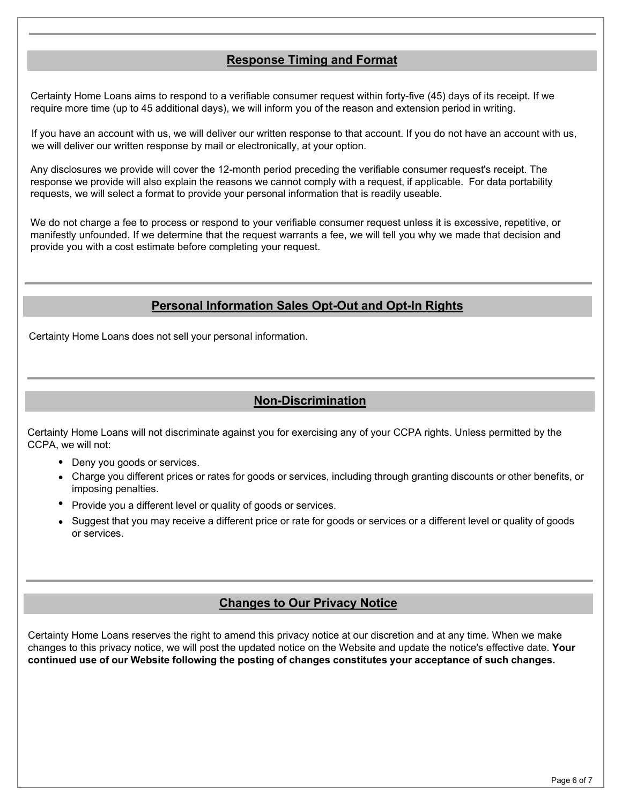#### **Response Timing and Format**

Certainty Home Loans aims to respond to a verifiable consumer request within forty-five (45) days of its receipt. If we require more time (up to 45 additional days), we will inform you of the reason and extension period in writing.

If you have an account with us, we will deliver our written response to that account. If you do not have an account with us, we will deliver our written response by mail or electronically, at your option.

Any disclosures we provide will cover the 12-month period preceding the verifiable consumer request's receipt. The response we provide will also explain the reasons we cannot comply with a request, if applicable. For data portability requests, we will select a format to provide your personal information that is readily useable.

We do not charge a fee to process or respond to your verifiable consumer request unless it is excessive, repetitive, or manifestly unfounded. If we determine that the request warrants a fee, we will tell you why we made that decision and provide you with a cost estimate before completing your request.

## **Personal Information Sales Opt-Out and Opt-In Rights**

Certainty Home Loans does not sell your personal information.

## **Non-Discrimination**

Certainty Home Loans will not discriminate against you for exercising any of your CCPA rights. Unless permitted by the CCPA, we will not:

- Deny you goods or services.
- Charge you different prices or rates for goods or services, including through granting discounts or other benefits, or imposing penalties.
- Provide you a different level or quality of goods or services.
- Suggest that you may receive a different price or rate for goods or services or a different level or quality of goods or services.

#### **Changes to Our Privacy Notice**

Certainty Home Loans reserves the right to amend this privacy notice at our discretion and at any time. When we make changes to this privacy notice, we will post the updated notice on the Website and update the notice's effective date. **Your continued use of our Website following the posting of changes constitutes your acceptance of such changes.**